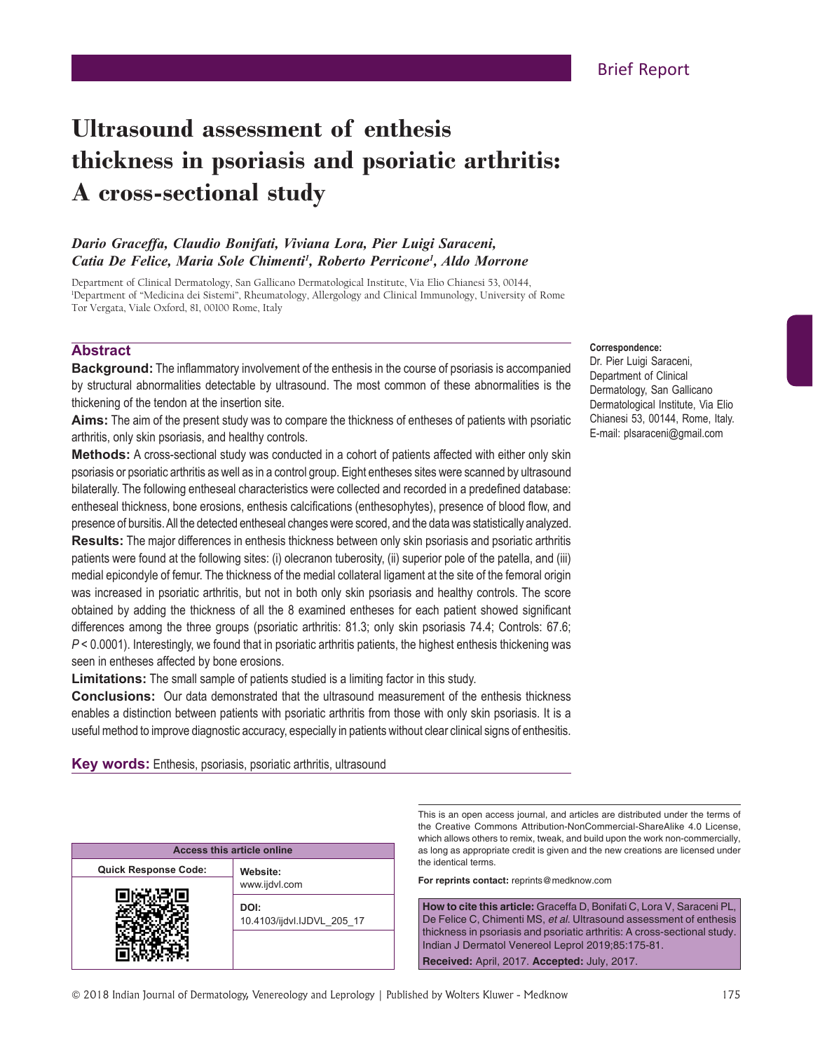# **Ultrasound assessment of enthesis thickness in psoriasis and psoriatic arthritis: A cross‑sectional study**

# *Dario Graceffa, Claudio Bonifati, Viviana Lora, Pier Luigi Saraceni, Catia De Felice, Maria Sole Chimenti1 , Roberto Perricone1 , Aldo Morrone*

Department of Clinical Dermatology, San Gallicano Dermatological Institute, Via Elio Chianesi 53, 00144, 1 Department of "Medicina dei Sistemi", Rheumatology, Allergology and Clinical Immunology, University of Rome Tor Vergata, Viale Oxford, 81, 00100 Rome, Italy

## **Abstract**

**Background:** The inflammatory involvement of the enthesis in the course of psoriasis is accompanied by structural abnormalities detectable by ultrasound. The most common of these abnormalities is the thickening of the tendon at the insertion site.

**Aims:** The aim of the present study was to compare the thickness of entheses of patients with psoriatic arthritis, only skin psoriasis, and healthy controls.

**Methods:** A cross-sectional study was conducted in a cohort of patients affected with either only skin psoriasis or psoriatic arthritis as well as in a control group. Eight entheses sites were scanned by ultrasound bilaterally. The following entheseal characteristics were collected and recorded in a predefined database: entheseal thickness, bone erosions, enthesis calcifications (enthesophytes), presence of blood flow, and presence of bursitis. All the detected entheseal changes were scored, and the data was statistically analyzed. **Results:** The major differences in enthesis thickness between only skin psoriasis and psoriatic arthritis patients were found at the following sites: (i) olecranon tuberosity, (ii) superior pole of the patella, and (iii) medial epicondyle of femur. The thickness of the medial collateral ligament at the site of the femoral origin was increased in psoriatic arthritis, but not in both only skin psoriasis and healthy controls. The score obtained by adding the thickness of all the 8 examined entheses for each patient showed significant differences among the three groups (psoriatic arthritis: 81.3; only skin psoriasis 74.4; Controls: 67.6; *P* < 0.0001). Interestingly, we found that in psoriatic arthritis patients, the highest enthesis thickening was seen in entheses affected by bone erosions.

**Limitations:** The small sample of patients studied is a limiting factor in this study.

**Conclusions:** Our data demonstrated that the ultrasound measurement of the enthesis thickness enables a distinction between patients with psoriatic arthritis from those with only skin psoriasis. It is a useful method to improve diagnostic accuracy, especially in patients without clear clinical signs of enthesitis.

**Key words:** Enthesis, psoriasis, psoriatic arthritis, ultrasound

| <b>Access this article online</b> |                                    |  |  |  |  |
|-----------------------------------|------------------------------------|--|--|--|--|
| <b>Quick Response Code:</b>       | Website:                           |  |  |  |  |
|                                   | www.ijdvl.com                      |  |  |  |  |
|                                   | DOI:<br>10.4103/ijdvl.IJDVL 205 17 |  |  |  |  |
|                                   |                                    |  |  |  |  |
|                                   |                                    |  |  |  |  |

# **Correspondence:**

Dr. Pier Luigi Saraceni, Department of Clinical Dermatology, San Gallicano Dermatological Institute, Via Elio Chianesi 53, 00144, Rome, Italy. E‑mail: plsaraceni@gmail.com

This is an open access journal, and articles are distributed under the terms of the Creative Commons Attribution-NonCommercial-ShareAlike 4.0 License, which allows others to remix, tweak, and build upon the work non-commercially, as long as appropriate credit is given and the new creations are licensed under the identical terms.

**For reprints contact:** reprints@medknow.com

**How to cite this article:** Graceffa D, Bonifati C, Lora V, Saraceni PL, De Felice C, Chimenti MS, *et al*. Ultrasound assessment of enthesis thickness in psoriasis and psoriatic arthritis: A cross-sectional study. Indian J Dermatol Venereol Leprol 2019;85:175-81. **Received:** April, 2017. **Accepted:** July, 2017.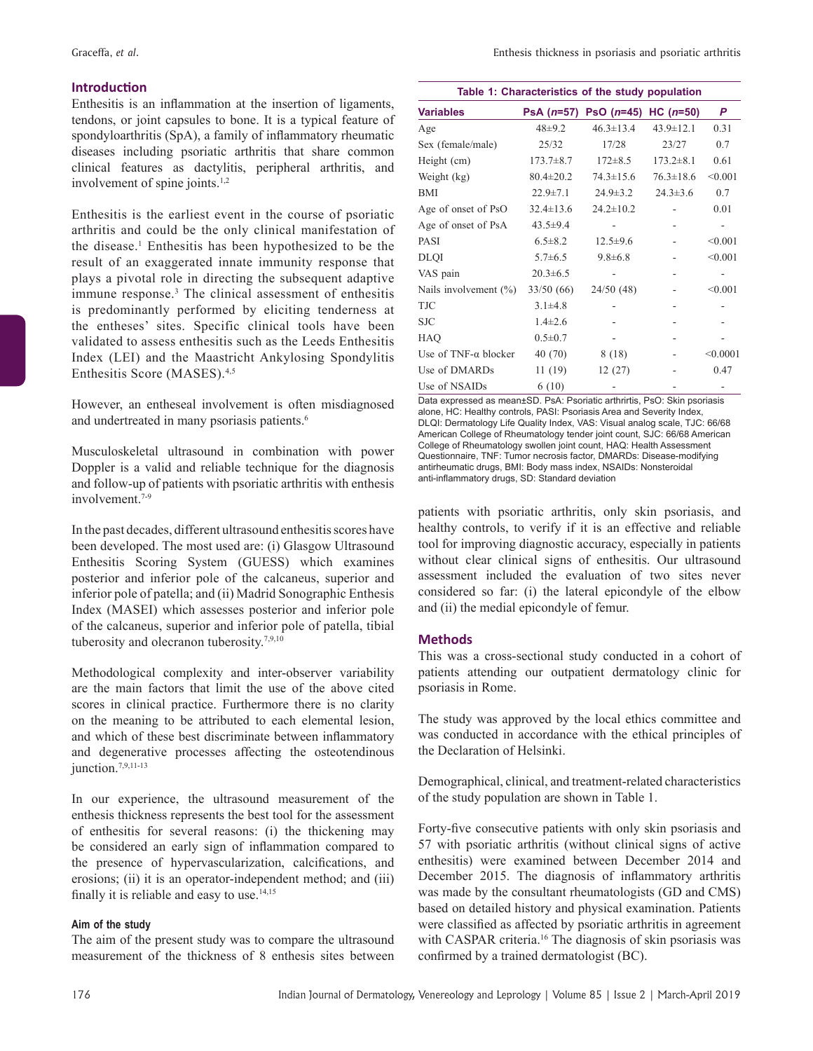## **Introduction**

Enthesitis is an inflammation at the insertion of ligaments, tendons, or joint capsules to bone. It is a typical feature of spondyloarthritis (SpA), a family of inflammatory rheumatic diseases including psoriatic arthritis that share common clinical features as dactylitis, peripheral arthritis, and involvement of spine joints.<sup>1,2</sup>

Enthesitis is the earliest event in the course of psoriatic arthritis and could be the only clinical manifestation of the disease.<sup>1</sup> Enthesitis has been hypothesized to be the result of an exaggerated innate immunity response that plays a pivotal role in directing the subsequent adaptive immune response.<sup>3</sup> The clinical assessment of enthesitis is predominantly performed by eliciting tenderness at the entheses' sites. Specific clinical tools have been validated to assess enthesitis such as the Leeds Enthesitis Index (LEI) and the Maastricht Ankylosing Spondylitis Enthesitis Score (MASES).4,5

However, an entheseal involvement is often misdiagnosed and undertreated in many psoriasis patients.<sup>6</sup>

Musculoskeletal ultrasound in combination with power Doppler is a valid and reliable technique for the diagnosis and follow‑up of patients with psoriatic arthritis with enthesis involvement $7-9$ 

In the past decades, different ultrasound enthesitis scores have been developed. The most used are: (i) Glasgow Ultrasound Enthesitis Scoring System (GUESS) which examines posterior and inferior pole of the calcaneus, superior and inferior pole of patella; and (ii) Madrid Sonographic Enthesis Index (MASEI) which assesses posterior and inferior pole of the calcaneus, superior and inferior pole of patella, tibial tuberosity and olecranon tuberosity.<sup>7,9,10</sup>

Methodological complexity and inter-observer variability are the main factors that limit the use of the above cited scores in clinical practice. Furthermore there is no clarity on the meaning to be attributed to each elemental lesion, and which of these best discriminate between inflammatory and degenerative processes affecting the osteotendinous iunction.<sup>7,9,11-13</sup>

In our experience, the ultrasound measurement of the enthesis thickness represents the best tool for the assessment of enthesitis for several reasons: (i) the thickening may be considered an early sign of inflammation compared to the presence of hypervascularization, calcifications, and erosions; (ii) it is an operator-independent method; and (iii) finally it is reliable and easy to use.<sup>14,15</sup>

#### **Aim of the study**

The aim of the present study was to compare the ultrasound measurement of the thickness of 8 enthesis sites between

| Graceffa. <i>et al.</i> |  | Enthesis thickness in psoriasis and psoriatic arthritis |  |  |
|-------------------------|--|---------------------------------------------------------|--|--|
|                         |  |                                                         |  |  |

| Table 1: Characteristics of the study population |                 |                                 |                 |          |  |  |
|--------------------------------------------------|-----------------|---------------------------------|-----------------|----------|--|--|
| <b>Variables</b>                                 |                 | PsA (n=57) PsO (n=45) HC (n=50) |                 | P        |  |  |
| Age                                              | $48+9.2$        | $46.3 \pm 13.4$                 | $43.9 \pm 12.1$ | 0.31     |  |  |
| Sex (female/male)                                | 25/32           | 17/28                           | 23/27           | 0.7      |  |  |
| Height (cm)                                      | $173.7 \pm 8.7$ | $172 \pm 8.5$                   | $173.2 \pm 8.1$ | 0.61     |  |  |
| Weight (kg)                                      | $80.4 \pm 20.2$ | $74.3 \pm 15.6$                 | $76.3 \pm 18.6$ | < 0.001  |  |  |
| <b>BMI</b>                                       | $22.9 \pm 7.1$  | $24.9 \pm 3.2$                  | $24.3 \pm 3.6$  | 0.7      |  |  |
| Age of onset of PsO                              | $32.4 \pm 13.6$ | $24.2 \pm 10.2$                 |                 | 0.01     |  |  |
| Age of onset of PsA                              | $43.5 \pm 9.4$  |                                 |                 |          |  |  |
| <b>PASI</b>                                      | $6.5 \pm 8.2$   | $12.5 \pm 9.6$                  |                 | < 0.001  |  |  |
| <b>DLQI</b>                                      | $5.7\pm 6.5$    | $9.8 \pm 6.8$                   |                 | < 0.001  |  |  |
| VAS pain                                         | $20.3 \pm 6.5$  |                                 |                 |          |  |  |
| Nails involvement $(\% )$                        | 33/50(66)       | 24/50(48)                       |                 | < 0.001  |  |  |
| <b>TJC</b>                                       | $3.1 \pm 4.8$   |                                 |                 |          |  |  |
| <b>SJC</b>                                       | $1.4\pm2.6$     |                                 |                 |          |  |  |
| <b>HAQ</b>                                       | $0.5 \pm 0.7$   |                                 |                 |          |  |  |
| Use of $TNF-\alpha$ blocker                      | 40(70)          | 8 (18)                          |                 | < 0.0001 |  |  |
| Use of DMARDs                                    | 11(19)          | 12(27)                          |                 | 0.47     |  |  |
| Use of NSAIDs                                    | 6(10)           |                                 |                 |          |  |  |

Data expressed as mean±SD. PsA: Psoriatic arthrirtis, PsO: Skin psoriasis alone, HC: Healthy controls, PASI: Psoriasis Area and Severity Index, DLQI: Dermatology Life Quality Index, VAS: Visual analog scale, TJC: 66/68 American College of Rheumatology tender joint count, SJC: 66/68 American College of Rheumatology swollen joint count, HAQ: Health Assessment Questionnaire, TNF: Tumor necrosis factor, DMARDs: Disease-modifying antirheumatic drugs, BMI: Body mass index, NSAIDs: Nonsteroidal anti-inflammatory drugs, SD: Standard deviation

patients with psoriatic arthritis, only skin psoriasis, and healthy controls, to verify if it is an effective and reliable tool for improving diagnostic accuracy, especially in patients without clear clinical signs of enthesitis. Our ultrasound assessment included the evaluation of two sites never considered so far: (i) the lateral epicondyle of the elbow and (ii) the medial epicondyle of femur.

#### **Methods**

This was a cross-sectional study conducted in a cohort of patients attending our outpatient dermatology clinic for psoriasis in Rome.

The study was approved by the local ethics committee and was conducted in accordance with the ethical principles of the Declaration of Helsinki.

Demographical, clinical, and treatment-related characteristics of the study population are shown in Table 1.

Forty-five consecutive patients with only skin psoriasis and 57 with psoriatic arthritis (without clinical signs of active enthesitis) were examined between December 2014 and December 2015. The diagnosis of inflammatory arthritis was made by the consultant rheumatologists (GD and CMS) based on detailed history and physical examination. Patients were classified as affected by psoriatic arthritis in agreement with CASPAR criteria.<sup>16</sup> The diagnosis of skin psoriasis was confirmed by a trained dermatologist (BC).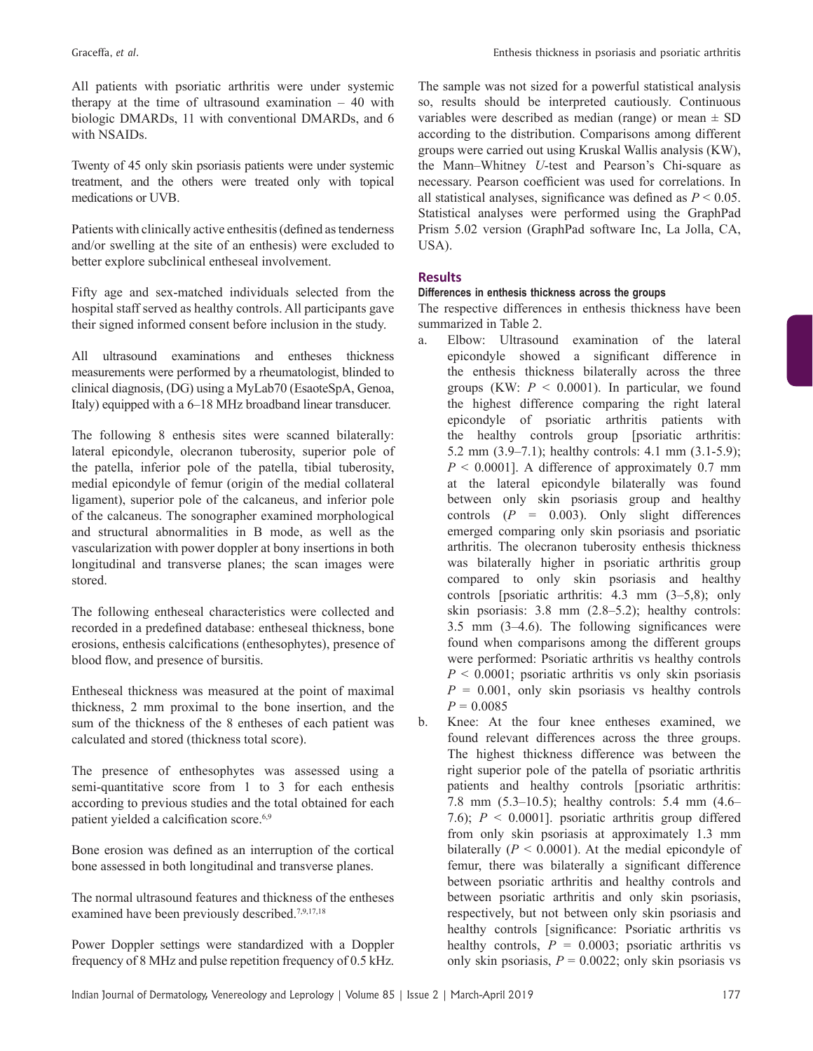All patients with psoriatic arthritis were under systemic therapy at the time of ultrasound examination – 40 with biologic DMARDs, 11 with conventional DMARDs, and 6 with NSAIDs.

Twenty of 45 only skin psoriasis patients were under systemic treatment, and the others were treated only with topical medications or UVB.

Patients with clinically active enthesitis (defined as tenderness and/or swelling at the site of an enthesis) were excluded to better explore subclinical entheseal involvement.

Fifty age and sex-matched individuals selected from the hospital staff served as healthy controls. All participants gave their signed informed consent before inclusion in the study.

All ultrasound examinations and entheses thickness measurements were performed by a rheumatologist, blinded to clinical diagnosis, (DG) using a MyLab70 (EsaoteSpA, Genoa, Italy) equipped with a 6–18 MHz broadband linear transducer.

The following 8 enthesis sites were scanned bilaterally: lateral epicondyle, olecranon tuberosity, superior pole of the patella, inferior pole of the patella, tibial tuberosity, medial epicondyle of femur (origin of the medial collateral ligament), superior pole of the calcaneus, and inferior pole of the calcaneus. The sonographer examined morphological and structural abnormalities in B mode, as well as the vascularization with power doppler at bony insertions in both longitudinal and transverse planes; the scan images were stored.

The following entheseal characteristics were collected and recorded in a predefined database: entheseal thickness, bone erosions, enthesis calcifications (enthesophytes), presence of blood flow, and presence of bursitis.

Entheseal thickness was measured at the point of maximal thickness, 2 mm proximal to the bone insertion, and the sum of the thickness of the 8 entheses of each patient was calculated and stored (thickness total score).

The presence of enthesophytes was assessed using a semi-quantitative score from 1 to 3 for each enthesis according to previous studies and the total obtained for each patient yielded a calcification score.<sup>6,9</sup>

Bone erosion was defined as an interruption of the cortical bone assessed in both longitudinal and transverse planes.

The normal ultrasound features and thickness of the entheses examined have been previously described.<sup>7,9,17,18</sup>

Power Doppler settings were standardized with a Doppler frequency of 8 MHz and pulse repetition frequency of 0.5 kHz.

The sample was not sized for a powerful statistical analysis so, results should be interpreted cautiously. Continuous variables were described as median (range) or mean  $\pm$  SD according to the distribution. Comparisons among different groups were carried out using Kruskal Wallis analysis (KW), the Mann–Whitney *U*-test and Pearson's Chi-square as necessary. Pearson coefficient was used for correlations. In all statistical analyses, significance was defined as *P* < 0.05. Statistical analyses were performed using the GraphPad Prism 5.02 version (GraphPad software Inc, La Jolla, CA, USA).

## **Results**

## **Differences in enthesis thickness across the groups**

The respective differences in enthesis thickness have been summarized in Table 2.

- a. Elbow: Ultrasound examination of the lateral epicondyle showed a significant difference in the enthesis thickness bilaterally across the three groups (KW:  $P < 0.0001$ ). In particular, we found the highest difference comparing the right lateral epicondyle of psoriatic arthritis patients with the healthy controls group [psoriatic arthritis: 5.2 mm  $(3.9-7.1)$ ; healthy controls: 4.1 mm  $(3.1-5.9)$ ;  $P \le 0.0001$ ]. A difference of approximately 0.7 mm at the lateral epicondyle bilaterally was found between only skin psoriasis group and healthy controls  $(P = 0.003)$ . Only slight differences emerged comparing only skin psoriasis and psoriatic arthritis. The olecranon tuberosity enthesis thickness was bilaterally higher in psoriatic arthritis group compared to only skin psoriasis and healthy controls [psoriatic arthritis: 4.3 mm (3–5,8); only skin psoriasis: 3.8 mm (2.8–5.2); healthy controls: 3.5 mm (3–4.6). The following significances were found when comparisons among the different groups were performed: Psoriatic arthritis vs healthy controls  $P \leq 0.0001$ ; psoriatic arthritis vs only skin psoriasis  $P = 0.001$ , only skin psoriasis vs healthy controls  $P = 0.0085$
- b. Knee: At the four knee entheses examined, we found relevant differences across the three groups. The highest thickness difference was between the right superior pole of the patella of psoriatic arthritis patients and healthy controls [psoriatic arthritis: 7.8 mm (5.3–10.5); healthy controls: 5.4 mm (4.6– 7.6); *P* < 0.0001]. psoriatic arthritis group differed from only skin psoriasis at approximately 1.3 mm bilaterally  $(P < 0.0001)$ . At the medial epicondyle of femur, there was bilaterally a significant difference between psoriatic arthritis and healthy controls and between psoriatic arthritis and only skin psoriasis, respectively, but not between only skin psoriasis and healthy controls [significance: Psoriatic arthritis vs healthy controls,  $P = 0.0003$ ; psoriatic arthritis vs only skin psoriasis,  $P = 0.0022$ ; only skin psoriasis vs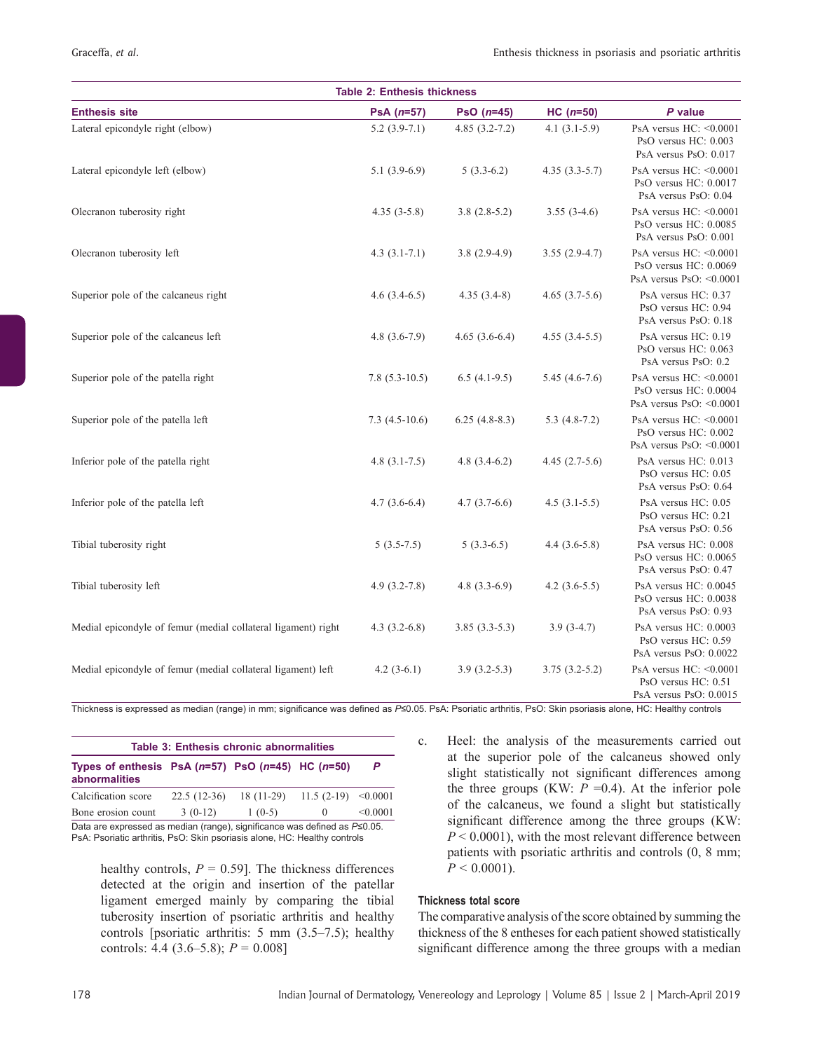| <b>Table 2: Enthesis thickness</b>                            |                  |                   |                 |                                                                                     |  |
|---------------------------------------------------------------|------------------|-------------------|-----------------|-------------------------------------------------------------------------------------|--|
| <b>Enthesis site</b>                                          | $PsA(n=57)$      | PsO $(n=45)$      | $HC (n=50)$     | P value                                                                             |  |
| Lateral epicondyle right (elbow)                              | $5.2(3.9-7.1)$   | $4.85(3.2 - 7.2)$ | $4.1(3.1-5.9)$  | PsA versus $HC: < 0.0001$<br>PsO versus HC: 0.003<br>PsA versus PsO: 0.017          |  |
| Lateral epicondyle left (elbow)                               | $5.1(3.9-6.9)$   | $5(3.3-6.2)$      | $4.35(3.3-5.7)$ | PsA versus $HC: < 0.0001$<br>PsO versus HC: 0.0017<br>PsA versus PsO: 0.04          |  |
| Olecranon tuberosity right                                    | $4.35(3-5.8)$    | $3.8(2.8-5.2)$    | $3.55(3-4.6)$   | PsA versus $HC: < 0.0001$<br>PsO versus $HC: 0.0085$<br>PsA versus PsO: 0.001       |  |
| Olecranon tuberosity left                                     | $4.3(3.1-7.1)$   | $3.8(2.9-4.9)$    | $3.55(2.9-4.7)$ | PsA versus $HC: < 0.0001$<br>PsO versus $HC: 0.0069$<br>PsA versus PsO: $< 0.0001$  |  |
| Superior pole of the calcaneus right                          | $4.6(3.4-6.5)$   | $4.35(3.4-8)$     | $4.65(3.7-5.6)$ | PsA versus HC: 0.37<br>PsO versus HC: 0.94<br>PsA versus PsO: 0.18                  |  |
| Superior pole of the calcaneus left                           | $4.8(3.6-7.9)$   | $4.65(3.6-6.4)$   | $4.55(3.4-5.5)$ | PsA versus HC: 0.19<br>PsO versus HC: 0.063<br>PsA versus PsO: 0.2                  |  |
| Superior pole of the patella right                            | $7.8(5.3-10.5)$  | $6.5(4.1-9.5)$    | $5.45(4.6-7.6)$ | PsA versus $HC: < 0.0001$<br>PsO versus HC: 0.0004<br>PsA versus PsO: $\leq 0.0001$ |  |
| Superior pole of the patella left                             | $7.3(4.5-10.6)$  | $6.25(4.8-8.3)$   | $5.3(4.8-7.2)$  | PsA versus $HC: < 0.0001$<br>PsO versus HC: 0.002<br>PsA versus PsO: $< 0.0001$     |  |
| Inferior pole of the patella right                            | $4.8(3.1-7.5)$   | $4.8(3.4-6.2)$    | $4.45(2.7-5.6)$ | PsA versus HC: 0.013<br>PsO versus HC: 0.05<br>PsA versus PsO: 0.64                 |  |
| Inferior pole of the patella left                             | $4.7(3.6-6.4)$   | $4.7(3.7-6.6)$    | $4.5(3.1-5.5)$  | PsA versus HC: 0.05<br>PsO versus HC: 0.21<br>PsA versus PsO: 0.56                  |  |
| Tibial tuberosity right                                       | $5(3.5-7.5)$     | $5(3.3-6.5)$      | $4.4(3.6-5.8)$  | PsA versus HC: 0.008<br>PsO versus HC: 0.0065<br>PsA versus PsO: 0.47               |  |
| Tibial tuberosity left                                        | $4.9(3.2 - 7.8)$ | 4.8 $(3.3-6.9)$   | $4.2(3.6-5.5)$  | PsA versus HC: 0.0045<br>PsO versus HC: 0.0038<br>PsA versus PsO: 0.93              |  |
| Medial epicondyle of femur (medial collateral ligament) right | 4.3 $(3.2-6.8)$  | $3.85(3.3-5.3)$   | $3.9(3-4.7)$    | PsA versus HC: 0.0003<br>PsO versus HC: 0.59<br>PsA versus PsO: 0.0022              |  |
| Medial epicondyle of femur (medial collateral ligament) left  | 4.2 $(3-6.1)$    | $3.9(3.2-5.3)$    | $3.75(3.2-5.2)$ | PsA versus $HC: < 0.0001$<br>PsO versus HC: 0.51<br>PsA versus PsO: 0.0015          |  |

Thickness is expressed as median (range) in mm; significance was defined as *P*≤0.05. PsA: Psoriatic arthritis, PsO: Skin psoriasis alone, HC: Healthy controls

| Table 3: Enthesis chronic abnormalities                                                                                                                       |           |                                               |          |          |  |
|---------------------------------------------------------------------------------------------------------------------------------------------------------------|-----------|-----------------------------------------------|----------|----------|--|
| Types of enthesis PsA $(n=57)$ PsO $(n=45)$ HC $(n=50)$<br><i>abnormalities</i>                                                                               |           |                                               |          | P        |  |
| Calcification score                                                                                                                                           |           | $22.5(12-36)$ 18 (11-29) 11.5 (2-19) < 0.0001 |          |          |  |
| Bone erosion count                                                                                                                                            | $3(0-12)$ | $1(0-5)$                                      | $\theta$ | < 0.0001 |  |
| Data are expressed as median (range), significance was defined as $P\leq 0.05$ .<br>PsA: Psoriatic arthritis, PsO: Skin psoriasis alone, HC: Healthy controls |           |                                               |          |          |  |

healthy controls,  $P = 0.59$ . The thickness differences detected at the origin and insertion of the patellar ligament emerged mainly by comparing the tibial tuberosity insertion of psoriatic arthritis and healthy controls [psoriatic arthritis: 5 mm (3.5–7.5); healthy controls: 4.4 (3.6–5.8); *P* = 0.008]

c. Heel: the analysis of the measurements carried out at the superior pole of the calcaneus showed only slight statistically not significant differences among the three groups (KW:  $P = 0.4$ ). At the inferior pole of the calcaneus, we found a slight but statistically significant difference among the three groups (KW: *P* < 0.0001), with the most relevant difference between patients with psoriatic arthritis and controls (0, 8 mm;  $P < 0.0001$ ).

## **Thickness total score**

The comparative analysis of the score obtained by summing the thickness of the 8 entheses for each patient showed statistically significant difference among the three groups with a median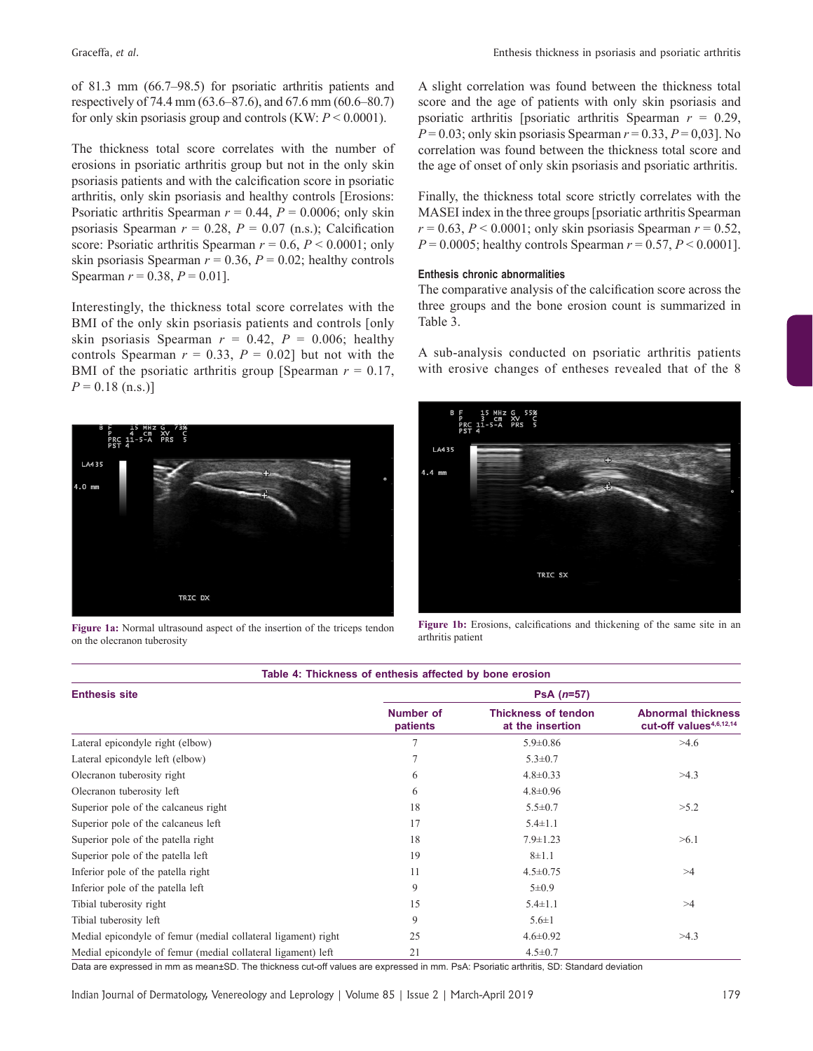of 81.3 mm (66.7–98.5) for psoriatic arthritis patients and respectively of 74.4 mm (63.6–87.6), and 67.6 mm (60.6–80.7) for only skin psoriasis group and controls (KW: *P* < 0.0001).

The thickness total score correlates with the number of erosions in psoriatic arthritis group but not in the only skin psoriasis patients and with the calcification score in psoriatic arthritis, only skin psoriasis and healthy controls [Erosions: Psoriatic arthritis Spearman  $r = 0.44$ ,  $P = 0.0006$ ; only skin psoriasis Spearman  $r = 0.28$ ,  $P = 0.07$  (n.s.); Calcification score: Psoriatic arthritis Spearman *r* = 0.6, *P* < 0.0001; only skin psoriasis Spearman  $r = 0.36$ ,  $P = 0.02$ ; healthy controls Spearman  $r = 0.38$ ,  $P = 0.01$ .

Interestingly, the thickness total score correlates with the BMI of the only skin psoriasis patients and controls [only skin psoriasis Spearman  $r = 0.42$ ,  $P = 0.006$ ; healthy controls Spearman  $r = 0.33$ ,  $P = 0.02$ ] but not with the BMI of the psoriatic arthritis group [Spearman  $r = 0.17$ ,  $P = 0.18$  (n.s.)]



**Figure 1a:** Normal ultrasound aspect of the insertion of the triceps tendon on the olecranon tuberosity

A slight correlation was found between the thickness total score and the age of patients with only skin psoriasis and psoriatic arthritis [psoriatic arthritis Spearman *r* = 0.29,  $P = 0.03$ ; only skin psoriasis Spearman  $r = 0.33$ ,  $P = 0.03$ ]. No correlation was found between the thickness total score and the age of onset of only skin psoriasis and psoriatic arthritis.

Finally, the thickness total score strictly correlates with the MASEI index in the three groups[psoriatic arthritis Spearman  $r = 0.63$ ,  $P < 0.0001$ ; only skin psoriasis Spearman  $r = 0.52$ , *P* = 0.0005; healthy controls Spearman *r* = 0.57, *P* < 0.0001].

#### **Enthesis chronic abnormalities**

The comparative analysis of the calcification score across the three groups and the bone erosion count is summarized in Table 3.

A sub‑analysis conducted on psoriatic arthritis patients with erosive changes of entheses revealed that of the 8



**Figure 1b:** Erosions, calcifications and thickening of the same site in an arthritis patient

| Table 4: Thickness of enthesis affected by bone erosion       |                              |                                                |                                                                  |  |  |  |
|---------------------------------------------------------------|------------------------------|------------------------------------------------|------------------------------------------------------------------|--|--|--|
| <b>Enthesis site</b>                                          | $PsA(n=57)$                  |                                                |                                                                  |  |  |  |
|                                                               | <b>Number of</b><br>patients | <b>Thickness of tendon</b><br>at the insertion | <b>Abnormal thickness</b><br>cut-off values <sup>4,6,12,14</sup> |  |  |  |
| Lateral epicondyle right (elbow)                              | $\overline{7}$               | $5.9 \pm 0.86$                                 | >4.6                                                             |  |  |  |
| Lateral epicondyle left (elbow)                               | 7                            | $5.3 \pm 0.7$                                  |                                                                  |  |  |  |
| Olecranon tuberosity right                                    | 6                            | $4.8 \pm 0.33$                                 | >4.3                                                             |  |  |  |
| Olecranon tuberosity left                                     | 6                            | $4.8 \pm 0.96$                                 |                                                                  |  |  |  |
| Superior pole of the calcaneus right                          | 18                           | $5.5 \pm 0.7$                                  | >5.2                                                             |  |  |  |
| Superior pole of the calcaneus left                           | 17                           | $5.4 \pm 1.1$                                  |                                                                  |  |  |  |
| Superior pole of the patella right                            | 18                           | $7.9 \pm 1.23$                                 | >6.1                                                             |  |  |  |
| Superior pole of the patella left                             | 19                           | $8 + 1.1$                                      |                                                                  |  |  |  |
| Inferior pole of the patella right                            | 11                           | $4.5 \pm 0.75$                                 | >4                                                               |  |  |  |
| Inferior pole of the patella left                             | 9                            | $5 \pm 0.9$                                    |                                                                  |  |  |  |
| Tibial tuberosity right                                       | 15                           | $5.4 \pm 1.1$                                  | >4                                                               |  |  |  |
| Tibial tuberosity left                                        | 9                            | $5.6 \pm 1$                                    |                                                                  |  |  |  |
| Medial epicondyle of femur (medial collateral ligament) right | 25                           | $4.6 \pm 0.92$                                 | >4.3                                                             |  |  |  |
| Medial epicondyle of femur (medial collateral ligament) left  | 21                           | $4.5 \pm 0.7$                                  |                                                                  |  |  |  |

Data are expressed in mm as mean±SD. The thickness cut‑off values are expressed in mm. PsA: Psoriatic arthritis, SD: Standard deviation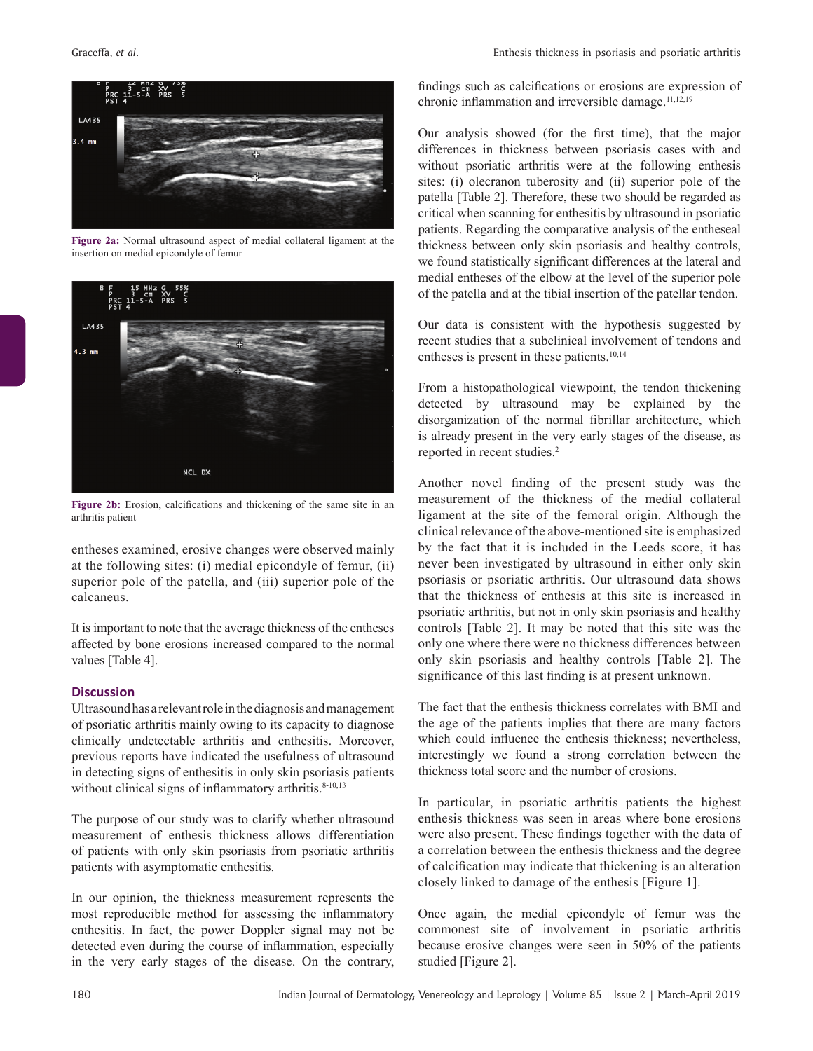

**Figure 2a:** Normal ultrasound aspect of medial collateral ligament at the insertion on medial epicondyle of femur



**Figure 2b:** Erosion, calcifications and thickening of the same site in an arthritis patient

entheses examined, erosive changes were observed mainly at the following sites: (i) medial epicondyle of femur, (ii) superior pole of the patella, and (iii) superior pole of the calcaneus.

It isimportant to note that the average thickness of the entheses affected by bone erosions increased compared to the normal values [Table 4].

#### **Discussion**

Ultrasoundhasarelevantroleinthediagnosisandmanagement of psoriatic arthritis mainly owing to its capacity to diagnose clinically undetectable arthritis and enthesitis. Moreover, previous reports have indicated the usefulness of ultrasound in detecting signs of enthesitis in only skin psoriasis patients without clinical signs of inflammatory arthritis.<sup>8-10,13</sup>

The purpose of our study was to clarify whether ultrasound measurement of enthesis thickness allows differentiation of patients with only skin psoriasis from psoriatic arthritis patients with asymptomatic enthesitis.

In our opinion, the thickness measurement represents the most reproducible method for assessing the inflammatory enthesitis. In fact, the power Doppler signal may not be detected even during the course of inflammation, especially in the very early stages of the disease. On the contrary, findings such as calcifications or erosions are expression of chronic inflammation and irreversible damage. $11,12,19$ 

Our analysis showed (for the first time), that the major differences in thickness between psoriasis cases with and without psoriatic arthritis were at the following enthesis sites: (i) olecranon tuberosity and (ii) superior pole of the patella [Table 2]. Therefore, these two should be regarded as critical when scanning for enthesitis by ultrasound in psoriatic patients. Regarding the comparative analysis of the entheseal thickness between only skin psoriasis and healthy controls, we found statistically significant differences at the lateral and medial entheses of the elbow at the level of the superior pole of the patella and at the tibial insertion of the patellar tendon.

Our data is consistent with the hypothesis suggested by recent studies that a subclinical involvement of tendons and entheses is present in these patients.<sup>10,14</sup>

From a histopathological viewpoint, the tendon thickening detected by ultrasound may be explained by the disorganization of the normal fibrillar architecture, which is already present in the very early stages of the disease, as reported in recent studies.2

Another novel finding of the present study was the measurement of the thickness of the medial collateral ligament at the site of the femoral origin. Although the clinical relevance of the above‑mentioned site is emphasized by the fact that it is included in the Leeds score, it has never been investigated by ultrasound in either only skin psoriasis or psoriatic arthritis. Our ultrasound data shows that the thickness of enthesis at this site is increased in psoriatic arthritis, but not in only skin psoriasis and healthy controls [Table 2]. It may be noted that this site was the only one where there were no thickness differences between only skin psoriasis and healthy controls [Table 2]. The significance of this last finding is at present unknown.

The fact that the enthesis thickness correlates with BMI and the age of the patients implies that there are many factors which could influence the enthesis thickness; nevertheless, interestingly we found a strong correlation between the thickness total score and the number of erosions.

In particular, in psoriatic arthritis patients the highest enthesis thickness was seen in areas where bone erosions were also present. These findings together with the data of a correlation between the enthesis thickness and the degree of calcification may indicate that thickening is an alteration closely linked to damage of the enthesis [Figure 1].

Once again, the medial epicondyle of femur was the commonest site of involvement in psoriatic arthritis because erosive changes were seen in 50% of the patients studied [Figure 2].